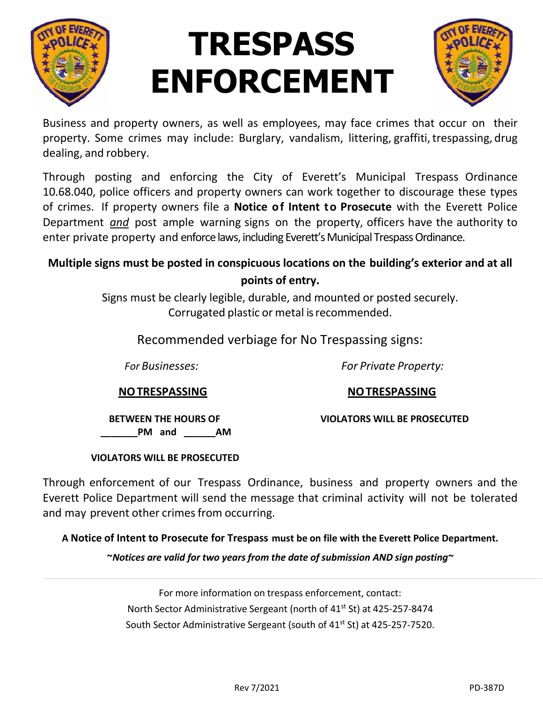

# **TRESPASS ENFORCEMENT**



Business and property owners, as well as employees, may face crimes that occur on their property. Some crimes may include: Burglary, vandalism, littering, graffiti, trespassing, drug dealing, and robbery.

Through posting and enforcing the City of Everett's Municipal Trespass Ordinance 10.68.040, police officers and property owners can work together to discourage these types of crimes. If property owners file a **Notice of Intent to Prosecute** with the Everett Police Department *and* post ample warning signs on the property, officers have the authority to enter private property and enforce laws, including Everett's Municipal Trespass Ordinance.

#### **Multiple signs must be posted in conspicuous locations on the building's exterior and at all points of entry.**

Signs must be clearly legible, durable, and mounted or posted securely. Corrugated plastic or metal isrecommended.

Recommended verbiage for No Trespassing signs:

 *For Businesses: For Private Property:*

**NOTRESPASSING NOTRESPASSING**

 **BETWEEN THE HOURS OF VIOLATORS WILL BE PROSECUTED** PM and **AM** 

#### **VIOLATORS WILL BE PROSECUTED**

Through enforcement of our Trespass Ordinance, business and property owners and the Everett Police Department will send the message that criminal activity will not be tolerated and may prevent other crimes from occurring.

**A Notice of Intent to Prosecute for Trespass must be on file with the Everett Police Department.**

**~***Notices are valid for two years from the date of submission AND sign posting~*

For more information on trespass enforcement, contact: North Sector Administrative Sergeant (north of 41st St) at 425-257-8474 South Sector Administrative Sergeant (south of 41<sup>st</sup> St) at 425-257-7520.